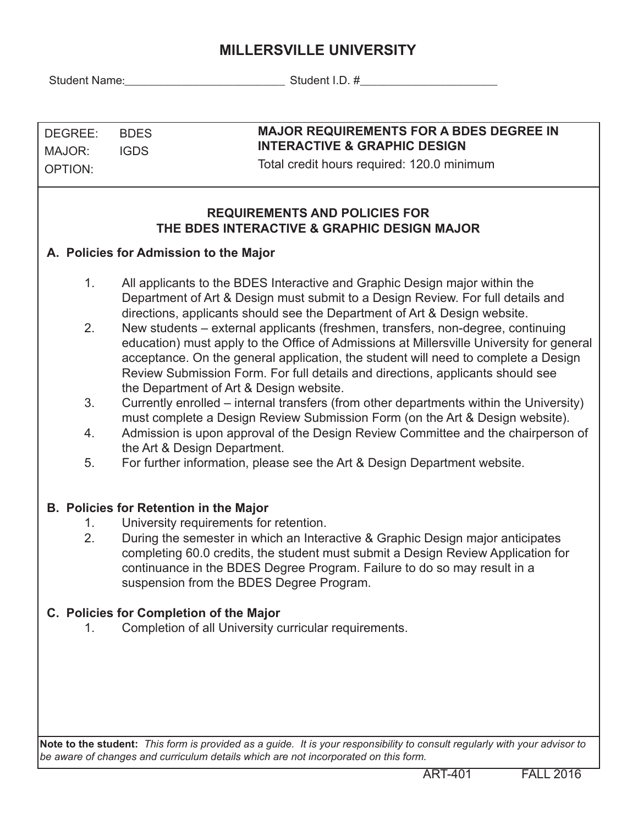# **MILLERSVILLE UNIVERSITY**

Student Name:\_\_\_\_\_\_\_\_\_\_\_\_\_\_\_\_\_\_\_\_\_\_\_\_\_\_\_\_ Student I.D. #\_\_\_\_\_\_\_\_\_\_\_\_\_\_\_\_\_\_\_\_\_\_\_\_

| DEGREE: | <b>BDES</b> |
|---------|-------------|
| MAJOR:  | <b>IGDS</b> |
| OPTION: |             |

#### **MAJOR REQUIREMENTS FOR A BDES DEGREE IN INTERACTIVE & GRAPHIC DESIGN**

Total credit hours required: 120.0 minimum

#### **REQUIREMENTS AND POLICIES FOR THE BDES INTERACTIVE & GRAPHIC DESIGN MAJOR**

### **A. Policies for Admission to the Major**

- 1. All applicants to the BDES Interactive and Graphic Design major within the Department of Art & Design must submit to a Design Review. For full details and directions, applicants should see the Department of Art & Design website.
- 2. New students external applicants (freshmen, transfers, non-degree, continuing education) must apply to the Office of Admissions at Millersville University for general acceptance. On the general application, the student will need to complete a Design Review Submission Form. For full details and directions, applicants should see the Department of Art & Design website.
- 3. Currently enrolled internal transfers (from other departments within the University) must complete a Design Review Submission Form (on the Art & Design website).
- 4. Admission is upon approval of the Design Review Committee and the chairperson of the Art & Design Department.
- 5. For further information, please see the Art & Design Department website.

### **B. Policies for Retention in the Major**

- 1. University requirements for retention.
- 2. During the semester in which an Interactive & Graphic Design major anticipates completing 60.0 credits, the student must submit a Design Review Application for continuance in the BDES Degree Program. Failure to do so may result in a suspension from the BDES Degree Program.

### **C. Policies for Completion of the Major**

1. Completion of all University curricular requirements.

**Note to the student:** *This form is provided as a guide. It is your responsibility to consult regularly with your advisor to be aware of changes and curriculum details which are not incorporated on this form.*